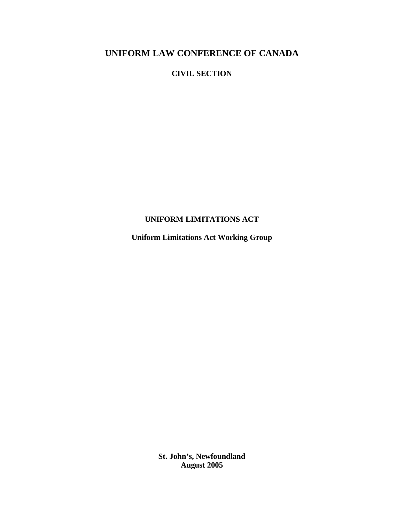### **CIVIL SECTION**

## **UNIFORM LIMITATIONS ACT**

**Uniform Limitations Act Working Group**

**St. John's, Newfoundland August 2005**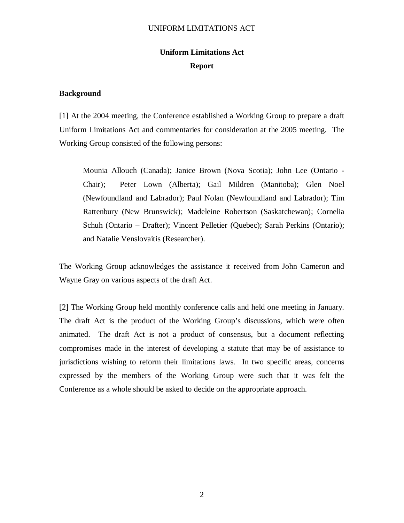#### UNIFORM LIMITATIONS ACT

# **Uniform Limitations Act Report**

#### **Background**

[1] At the 2004 meeting, the Conference established a Working Group to prepare a draft Uniform Limitations Act and commentaries for consideration at the 2005 meeting. The Working Group consisted of the following persons:

Mounia Allouch (Canada); Janice Brown (Nova Scotia); John Lee (Ontario - Chair); Peter Lown (Alberta); Gail Mildren (Manitoba); Glen Noel (Newfoundland and Labrador); Paul Nolan (Newfoundland and Labrador); Tim Rattenbury (New Brunswick); Madeleine Robertson (Saskatchewan); Cornelia Schuh (Ontario – Drafter); Vincent Pelletier (Quebec); Sarah Perkins (Ontario); and Natalie Venslovaitis (Researcher).

The Working Group acknowledges the assistance it received from John Cameron and Wayne Gray on various aspects of the draft Act.

[2] The Working Group held monthly conference calls and held one meeting in January. The draft Act is the product of the Working Group's discussions, which were often animated. The draft Act is not a product of consensus, but a document reflecting compromises made in the interest of developing a statute that may be of assistance to jurisdictions wishing to reform their limitations laws. In two specific areas, concerns expressed by the members of the Working Group were such that it was felt the Conference as a whole should be asked to decide on the appropriate approach.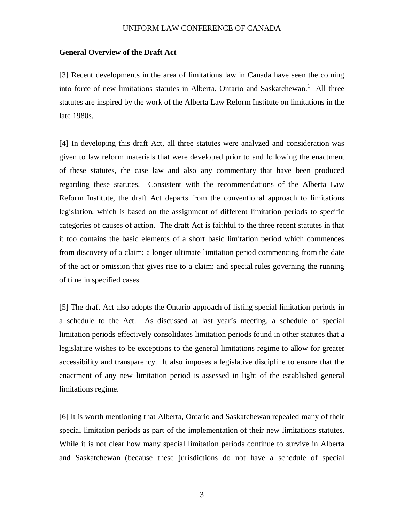#### **General Overview of the Draft Act**

[3] Recent developments in the area of limitations law in Canada have seen the coming into force of new limitations statutes in Alberta, Ontario and Saskatchewan. <sup>1</sup> All three statutes are inspired by the work of the Alberta Law Reform Institute on limitations in the late 1980s.

[4] In developing this draft Act, all three statutes were analyzed and consideration was given to law reform materials that were developed prior to and following the enactment of these statutes, the case law and also any commentary that have been produced regarding these statutes. Consistent with the recommendations of the Alberta Law Reform Institute, the draft Act departs from the conventional approach to limitations legislation, which is based on the assignment of different limitation periods to specific categories of causes of action. The draft Act is faithful to the three recent statutes in that it too contains the basic elements of a short basic limitation period which commences from discovery of a claim; a longer ultimate limitation period commencing from the date of the act or omission that gives rise to a claim; and special rules governing the running of time in specified cases.

[5] The draft Act also adopts the Ontario approach of listing special limitation periods in a schedule to the Act. As discussed at last year's meeting, a schedule of special limitation periods effectively consolidates limitation periods found in other statutes that a legislature wishes to be exceptions to the general limitations regime to allow for greater accessibility and transparency. It also imposes a legislative discipline to ensure that the enactment of any new limitation period is assessed in light of the established general limitations regime.

[6] It is worth mentioning that Alberta, Ontario and Saskatchewan repealed many of their special limitation periods as part of the implementation of their new limitations statutes. While it is not clear how many special limitation periods continue to survive in Alberta and Saskatchewan (because these jurisdictions do not have a schedule of special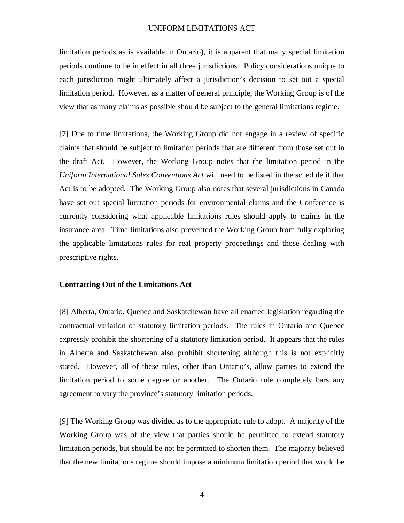#### UNIFORM LIMITATIONS ACT

limitation periods as is available in Ontario), it is apparent that many special limitation periods continue to be in effect in all three jurisdictions. Policy considerations unique to each jurisdiction might ultimately affect a jurisdiction's decision to set out a special limitation period. However, as a matter of general principle, the Working Group is of the view that as many claims as possible should be subject to the general limitations regime.

[7] Due to time limitations, the Working Group did not engage in a review of specific claims that should be subject to limitation periods that are different from those set out in the draft Act. However, the Working Group notes that the limitation period in the *Uniform International Sales Conventions Act* will need to be listed in the schedule if that Act is to be adopted. The Working Group also notes that several jurisdictions in Canada have set out special limitation periods for environmental claims and the Conference is currently considering what applicable limitations rules should apply to claims in the insurance area. Time limitations also prevented the Working Group from fully exploring the applicable limitations rules for real property proceedings and those dealing with prescriptive rights.

#### **Contracting Out of the Limitations Act**

[8] Alberta, Ontario, Quebec and Saskatchewan have all enacted legislation regarding the contractual variation of statutory limitation periods. The rules in Ontario and Quebec expressly prohibit the shortening of a statutory limitation period. It appears that the rules in Alberta and Saskatchewan also prohibit shortening although this is not explicitly stated. However, all of these rules, other than Ontario's, allow parties to extend the limitation period to some degree or another. The Ontario rule completely bars any agreement to vary the province's statutory limitation periods.

[9] The Working Group was divided as to the appropriate rule to adopt. A majority of the Working Group was of the view that parties should be permitted to extend statutory limitation periods, but should be not be permitted to shorten them. The majority believed that the new limitations regime should impose a minimum limitation period that would be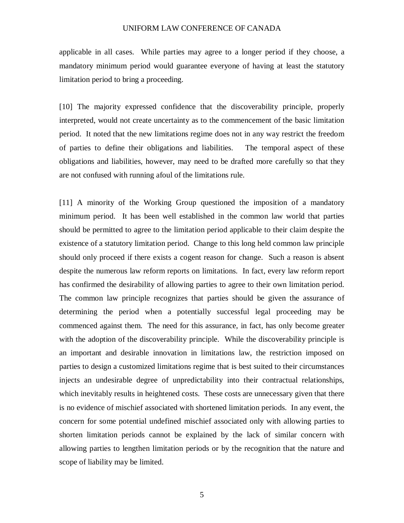applicable in all cases. While parties may agree to a longer period if they choose, a mandatory minimum period would guarantee everyone of having at least the statutory limitation period to bring a proceeding.

[10] The majority expressed confidence that the discoverability principle, properly interpreted, would not create uncertainty as to the commencement of the basic limitation period. It noted that the new limitations regime does not in any way restrict the freedom of parties to define their obligations and liabilities. The temporal aspect of these obligations and liabilities, however, may need to be drafted more carefully so that they are not confused with running afoul of the limitations rule.

[11] A minority of the Working Group questioned the imposition of a mandatory minimum period. It has been well established in the common law world that parties should be permitted to agree to the limitation period applicable to their claim despite the existence of a statutory limitation period. Change to this long held common law principle should only proceed if there exists a cogent reason for change. Such a reason is absent despite the numerous law reform reports on limitations. In fact, every law reform report has confirmed the desirability of allowing parties to agree to their own limitation period. The common law principle recognizes that parties should be given the assurance of determining the period when a potentially successful legal proceeding may be commenced against them. The need for this assurance, in fact, has only become greater with the adoption of the discoverability principle. While the discoverability principle is an important and desirable innovation in limitations law, the restriction imposed on parties to design a customized limitations regime that is best suited to their circumstances injects an undesirable degree of unpredictability into their contractual relationships, which inevitably results in heightened costs. These costs are unnecessary given that there is no evidence of mischief associated with shortened limitation periods. In any event, the concern for some potential undefined mischief associated only with allowing parties to shorten limitation periods cannot be explained by the lack of similar concern with allowing parties to lengthen limitation periods or by the recognition that the nature and scope of liability may be limited.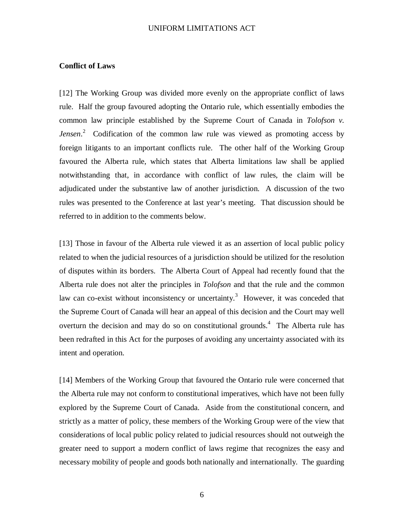#### UNIFORM LIMITATIONS ACT

### **Conflict of Laws**

[12] The Working Group was divided more evenly on the appropriate conflict of laws rule. Half the group favoured adopting the Ontario rule, which essentially embodies the common law principle established by the Supreme Court of Canada in *Tolofson v. Jensen*. <sup>2</sup> Codification of the common law rule was viewed as promoting access by foreign litigants to an important conflicts rule. The other half of the Working Group favoured the Alberta rule, which states that Alberta limitations law shall be applied notwithstanding that, in accordance with conflict of law rules, the claim will be adjudicated under the substantive law of another jurisdiction. A discussion of the two rules was presented to the Conference at last year's meeting. That discussion should be referred to in addition to the comments below.

[13] Those in favour of the Alberta rule viewed it as an assertion of local public policy related to when the judicial resources of a jurisdiction should be utilized for the resolution of disputes within its borders. The Alberta Court of Appeal had recently found that the Alberta rule does not alter the principles in *Tolofson* and that the rule and the common law can co-exist without inconsistency or uncertainty.<sup>3</sup> However, it was conceded that the Supreme Court of Canada will hear an appeal of this decision and the Court may well overturn the decision and may do so on constitutional grounds.<sup>4</sup> The Alberta rule has been redrafted in this Act for the purposes of avoiding any uncertainty associated with its intent and operation.

[14] Members of the Working Group that favoured the Ontario rule were concerned that the Alberta rule may not conform to constitutional imperatives, which have not been fully explored by the Supreme Court of Canada. Aside from the constitutional concern, and strictly as a matter of policy, these members of the Working Group were of the view that considerations of local public policy related to judicial resources should not outweigh the greater need to support a modern conflict of laws regime that recognizes the easy and necessary mobility of people and goods both nationally and internationally. The guarding